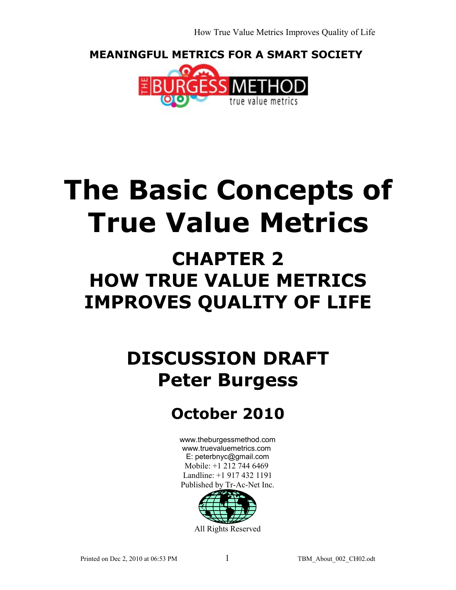How True Value Metrics Improves Quality of Life

**MEANINGFUL METRICS FOR A SMART SOCIETY** 



# **The Basic Concepts of True Value Metrics**

## **CHAPTER 2 HOW TRUE VALUE METRICS IMPROVES QUALITY OF LIFE**

## **DISCUSSION DRAFT Peter Burgess**

## **October 2010**

[www.theburgessmethod.com](http://www.theburgessmethod.com/) [www.truevaluemetrics.com](http://www.tr-ac-net.org/) E: peterbnyc@gmail.com Mobile: +1 212 744 6469 Landline: +1 917 432 1191 Published by Tr-Ac-Net Inc.

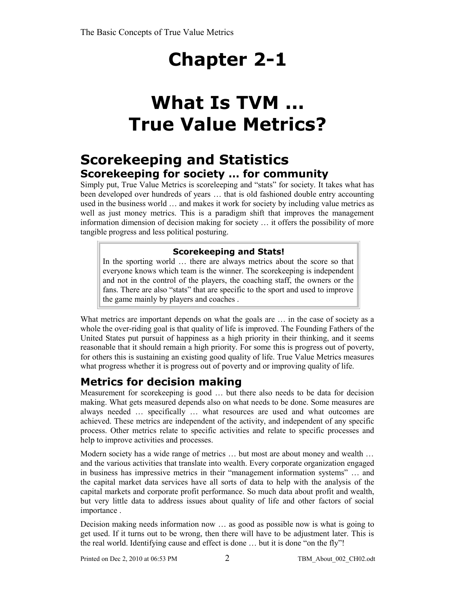## **Chapter 2-1**

## **What Is TVM ... True Value Metrics?**

### **Scorekeeping and Statistics Scorekeeping for society … for community**

Simply put, True Value Metrics is scoreleeping and "stats" for society. It takes what has been developed over hundreds of years … that is old fashioned double entry accounting used in the business world … and makes it work for society by including value metrics as well as just money metrics. This is a paradigm shift that improves the management information dimension of decision making for society … it offers the possibility of more tangible progress and less political posturing.

#### **Scorekeeping and Stats!**

In the sporting world … there are always metrics about the score so that everyone knows which team is the winner. The scorekeeping is independent and not in the control of the players, the coaching staff, the owners or the fans. There are also "stats" that are specific to the sport and used to improve the game mainly by players and coaches .

What metrics are important depends on what the goals are ... in the case of society as a whole the over-riding goal is that quality of life is improved. The Founding Fathers of the United States put pursuit of happiness as a high priority in their thinking, and it seems reasonable that it should remain a high priority. For some this is progress out of poverty, for others this is sustaining an existing good quality of life. True Value Metrics measures what progress whether it is progress out of poverty and or improving quality of life.

### **Metrics for decision making**

Measurement for scorekeeping is good … but there also needs to be data for decision making. What gets measured depends also on what needs to be done. Some measures are always needed … specifically … what resources are used and what outcomes are achieved. These metrics are independent of the activity, and independent of any specific process. Other metrics relate to specific activities and relate to specific processes and help to improve activities and processes.

Modern society has a wide range of metrics ... but most are about money and wealth ... and the various activities that translate into wealth. Every corporate organization engaged in business has impressive metrics in their "management information systems" … and the capital market data services have all sorts of data to help with the analysis of the capital markets and corporate profit performance. So much data about profit and wealth, but very little data to address issues about quality of life and other factors of social importance .

Decision making needs information now … as good as possible now is what is going to get used. If it turns out to be wrong, then there will have to be adjustment later. This is the real world. Identifying cause and effect is done … but it is done "on the fly"!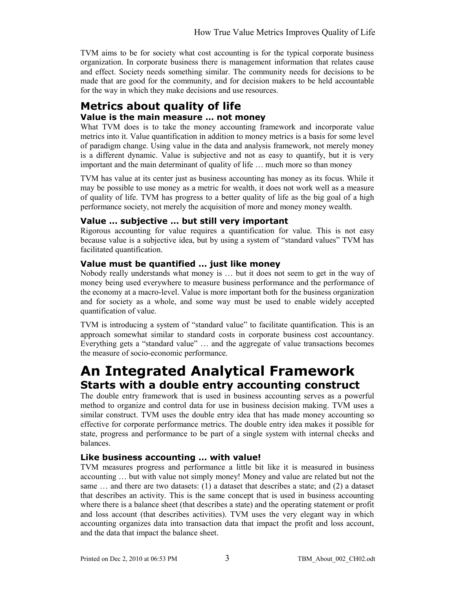TVM aims to be for society what cost accounting is for the typical corporate business organization. In corporate business there is management information that relates cause and effect. Society needs something similar. The community needs for decisions to be made that are good for the community, and for decision makers to be held accountable for the way in which they make decisions and use resources.

#### **Metrics about quality of life Value is the main measure … not money**

What TVM does is to take the money accounting framework and incorporate value metrics into it. Value quantification in addition to money metrics is a basis for some level of paradigm change. Using value in the data and analysis framework, not merely money is a different dynamic. Value is subjective and not as easy to quantify, but it is very important and the main determinant of quality of life … much more so than money

TVM has value at its center just as business accounting has money as its focus. While it may be possible to use money as a metric for wealth, it does not work well as a measure of quality of life. TVM has progress to a better quality of life as the big goal of a high performance society, not merely the acquisition of more and money money wealth.

#### **Value … subjective … but still very important**

Rigorous accounting for value requires a quantification for value. This is not easy because value is a subjective idea, but by using a system of "standard values" TVM has facilitated quantification.

#### **Value must be quantified … just like money**

Nobody really understands what money is … but it does not seem to get in the way of money being used everywhere to measure business performance and the performance of the economy at a macro-level. Value is more important both for the business organization and for society as a whole, and some way must be used to enable widely accepted quantification of value.

TVM is introducing a system of "standard value" to facilitate quantification. This is an approach somewhat similar to standard costs in corporate business cost accountancy. Everything gets a "standard value" … and the aggregate of value transactions becomes the measure of socio-economic performance.

### **An Integrated Analytical Framework Starts with a double entry accounting construct**

The double entry framework that is used in business accounting serves as a powerful method to organize and control data for use in business decision making. TVM uses a similar construct. TVM uses the double entry idea that has made money accounting so effective for corporate performance metrics. The double entry idea makes it possible for state, progress and performance to be part of a single system with internal checks and balances.

#### **Like business accounting … with value!**

TVM measures progress and performance a little bit like it is measured in business accounting … but with value not simply money! Money and value are related but not the same … and there are two datasets: (1) a dataset that describes a state; and (2) a dataset that describes an activity. This is the same concept that is used in business accounting where there is a balance sheet (that describes a state) and the operating statement or profit and loss account (that describes activities). TVM uses the very elegant way in which accounting organizes data into transaction data that impact the profit and loss account, and the data that impact the balance sheet.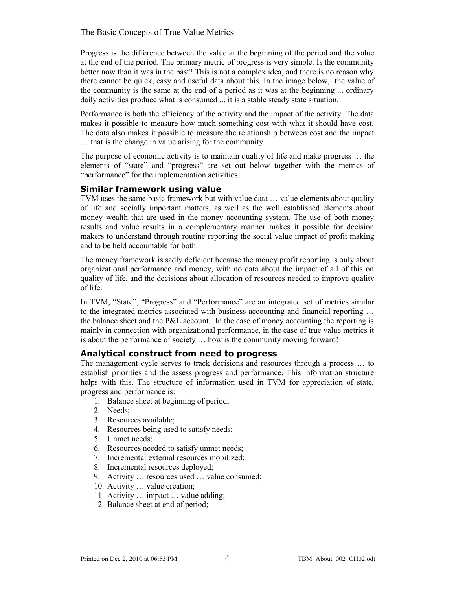Progress is the difference between the value at the beginning of the period and the value at the end of the period. The primary metric of progress is very simple. Is the community better now than it was in the past? This is not a complex idea, and there is no reason why there cannot be quick, easy and useful data about this. In the image below, the value of the community is the same at the end of a period as it was at the beginning ... ordinary daily activities produce what is consumed ... it is a stable steady state situation.

Performance is both the efficiency of the activity and the impact of the activity. The data makes it possible to measure how much something cost with what it should have cost. The data also makes it possible to measure the relationship between cost and the impact … that is the change in value arising for the community.

The purpose of economic activity is to maintain quality of life and make progress … the elements of "state" and "progress" are set out below together with the metrics of "performance" for the implementation activities.

#### **Similar framework using value**

TVM uses the same basic framework but with value data … value elements about quality of life and socially important matters, as well as the well established elements about money wealth that are used in the money accounting system. The use of both money results and value results in a complementary manner makes it possible for decision makers to understand through routine reporting the social value impact of profit making and to be held accountable for both.

The money framework is sadly deficient because the money profit reporting is only about organizational performance and money, with no data about the impact of all of this on quality of life, and the decisions about allocation of resources needed to improve quality of life.

In TVM, "State", "Progress" and "Performance" are an integrated set of metrics similar to the integrated metrics associated with business accounting and financial reporting … the balance sheet and the P&L account. In the case of money accounting the reporting is mainly in connection with organizational performance, in the case of true value metrics it is about the performance of society … how is the community moving forward!

#### **Analytical construct from need to progress**

The management cycle serves to track decisions and resources through a process … to establish priorities and the assess progress and performance. This information structure helps with this. The structure of information used in TVM for appreciation of state, progress and performance is:

- 1. Balance sheet at beginning of period;
- 2. Needs;
- 3. Resources available;
- 4. Resources being used to satisfy needs;
- 5. Unmet needs;
- 6. Resources needed to satisfy unmet needs;
- 7. Incremental external resources mobilized;
- 8. Incremental resources deployed;
- 9. Activity … resources used … value consumed;
- 10. Activity … value creation;
- 11. Activity … impact … value adding;
- 12. Balance sheet at end of period;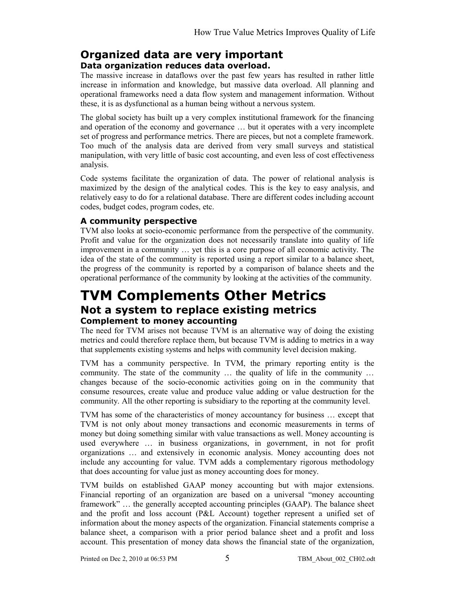### **Organized data are very important**

#### **Data organization reduces data overload.**

The massive increase in dataflows over the past few years has resulted in rather little increase in information and knowledge, but massive data overload. All planning and operational frameworks need a data flow system and management information. Without these, it is as dysfunctional as a human being without a nervous system.

The global society has built up a very complex institutional framework for the financing and operation of the economy and governance … but it operates with a very incomplete set of progress and performance metrics. There are pieces, but not a complete framework. Too much of the analysis data are derived from very small surveys and statistical manipulation, with very little of basic cost accounting, and even less of cost effectiveness analysis.

Code systems facilitate the organization of data. The power of relational analysis is maximized by the design of the analytical codes. This is the key to easy analysis, and relatively easy to do for a relational database. There are different codes including account codes, budget codes, program codes, etc.

#### **A community perspective**

TVM also looks at socio-economic performance from the perspective of the community. Profit and value for the organization does not necessarily translate into quality of life improvement in a community … yet this is a core purpose of all economic activity. The idea of the state of the community is reported using a report similar to a balance sheet, the progress of the community is reported by a comparison of balance sheets and the operational performance of the community by looking at the activities of the community.

### **TVM Complements Other Metrics Not a system to replace existing metrics Complement to money accounting**

The need for TVM arises not because TVM is an alternative way of doing the existing metrics and could therefore replace them, but because TVM is adding to metrics in a way that supplements existing systems and helps with community level decision making.

TVM has a community perspective. In TVM, the primary reporting entity is the community. The state of the community … the quality of life in the community … changes because of the socio-economic activities going on in the community that consume resources, create value and produce value adding or value destruction for the community. All the other reporting is subsidiary to the reporting at the community level.

TVM has some of the characteristics of money accountancy for business … except that TVM is not only about money transactions and economic measurements in terms of money but doing something similar with value transactions as well. Money accounting is used everywhere … in business organizations, in government, in not for profit organizations … and extensively in economic analysis. Money accounting does not include any accounting for value. TVM adds a complementary rigorous methodology that does accounting for value just as money accounting does for money.

TVM builds on established GAAP money accounting but with major extensions. Financial reporting of an organization are based on a universal "money accounting framework" … the generally accepted accounting principles (GAAP). The balance sheet and the profit and loss account (P&L Account) together represent a unified set of information about the money aspects of the organization. Financial statements comprise a balance sheet, a comparison with a prior period balance sheet and a profit and loss account. This presentation of money data shows the financial state of the organization,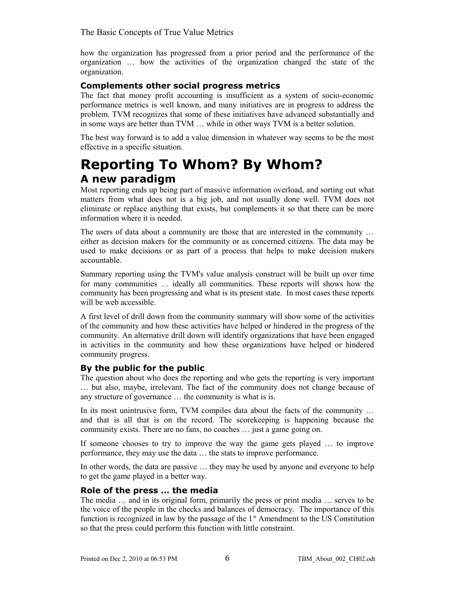how the organization has progressed from a prior period and the performance of the organization … how the activities of the organization changed the state of the organization.

#### **Complements other social progress metrics**

The fact that money profit accounting is insufficient as a system of socio-economic performance metrics is well known, and many initiatives are in progress to address the problem. TVM recognizes that some of these initiatives have advanced substantially and in some ways are better than TVM … while in other ways TVM is a better solution.

The best way forward is to add a value dimension in whatever way seems to be the most effective in a specific situation.

### **Reporting To Whom? By Whom? A new paradigm**

Most reporting ends up being part of massive information overload, and sorting out what matters from what does not is a big job, and not usually done well. TVM does not eliminate or replace anything that exists, but complements it so that there can be more information where it is needed.

The users of data about a community are those that are interested in the community … either as decision makers for the community or as concerned citizens. The data may be used to make decisions or as part of a process that helps to make decision makers accountable.

Summary reporting using the TVM's value analysis construct will be built up over time for many communities … ideally all communities. These reports will shows how the community has been progressing and what is its present state. In most cases these reports will be web accessible.

A first level of drill down from the community summary will show some of the activities of the community and how these activities have helped or hindered in the progress of the community. An alternative drill down will identify organizations that have been engaged in activities in the community and how these organizations have helped or hindered community progress.

#### **By the public for the public**

The question about who does the reporting and who gets the reporting is very important … but also, maybe, irrelevant. The fact of the community does not change because of any structure of governance … the community is what is is.

In its most unintrusive form, TVM compiles data about the facts of the community … and that is all that is on the record. The scorekeeping is happening because the community exists. There are no fans, no coaches … just a game going on.

If someone chooses to try to improve the way the game gets played … to improve performance, they may use the data … the stats to improve performance.

In other words, the data are passive … they may be used by anyone and everyone to help to get the game played in a better way.

#### **Role of the press … the media**

The media … and in its original form, primarily the press or print media … serves to be the voice of the people in the checks and balances of democracy. The importance of this function is recognized in law by the passage of the  $1<sup>st</sup>$  Amendment to the US Constitution so that the press could perform this function with little constraint.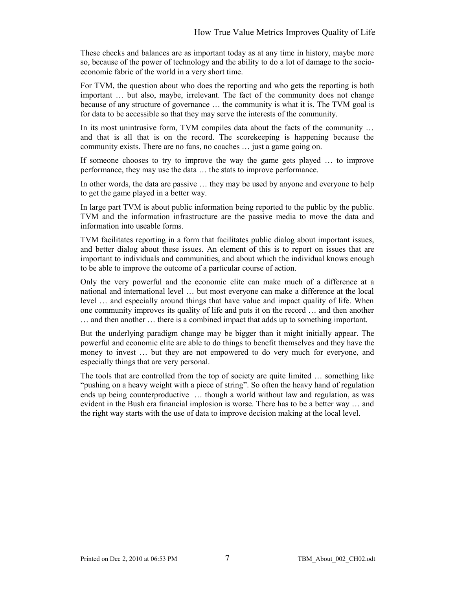These checks and balances are as important today as at any time in history, maybe more so, because of the power of technology and the ability to do a lot of damage to the socioeconomic fabric of the world in a very short time.

For TVM, the question about who does the reporting and who gets the reporting is both important … but also, maybe, irrelevant. The fact of the community does not change because of any structure of governance … the community is what it is. The TVM goal is for data to be accessible so that they may serve the interests of the community.

In its most unintrusive form, TVM compiles data about the facts of the community ... and that is all that is on the record. The scorekeeping is happening because the community exists. There are no fans, no coaches … just a game going on.

If someone chooses to try to improve the way the game gets played … to improve performance, they may use the data … the stats to improve performance.

In other words, the data are passive … they may be used by anyone and everyone to help to get the game played in a better way.

In large part TVM is about public information being reported to the public by the public. TVM and the information infrastructure are the passive media to move the data and information into useable forms.

TVM facilitates reporting in a form that facilitates public dialog about important issues, and better dialog about these issues. An element of this is to report on issues that are important to individuals and communities, and about which the individual knows enough to be able to improve the outcome of a particular course of action.

Only the very powerful and the economic elite can make much of a difference at a national and international level … but most everyone can make a difference at the local level … and especially around things that have value and impact quality of life. When one community improves its quality of life and puts it on the record … and then another … and then another … there is a combined impact that adds up to something important.

But the underlying paradigm change may be bigger than it might initially appear. The powerful and economic elite are able to do things to benefit themselves and they have the money to invest … but they are not empowered to do very much for everyone, and especially things that are very personal.

The tools that are controlled from the top of society are quite limited … something like "pushing on a heavy weight with a piece of string". So often the heavy hand of regulation ends up being counterproductive … though a world without law and regulation, as was evident in the Bush era financial implosion is worse. There has to be a better way … and the right way starts with the use of data to improve decision making at the local level.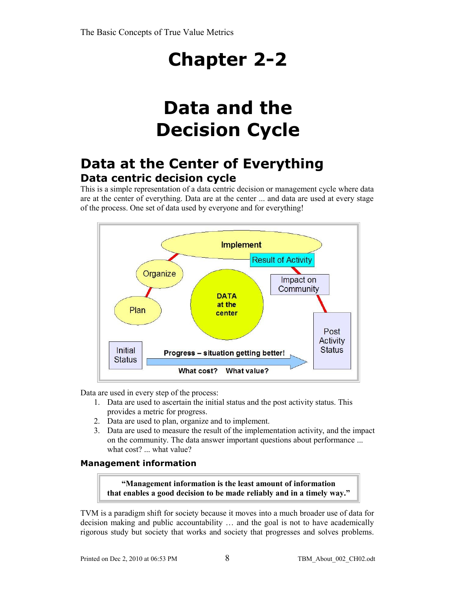## **Chapter 2-2**

## **Data and the Decision Cycle**

### **Data at the Center of Everything Data centric decision cycle**

This is a simple representation of a data centric decision or management cycle where data are at the center of everything. Data are at the center ... and data are used at every stage of the process. One set of data used by everyone and for everything!



Data are used in every step of the process:

- 1. Data are used to ascertain the initial status and the post activity status. This provides a metric for progress.
- 2. Data are used to plan, organize and to implement.
- 3. Data are used to measure the result of the implementation activity, and the impact on the community. The data answer important questions about performance ... what cost? ... what value?

#### **Management information**

**"Management information is the least amount of information that enables a good decision to be made reliably and in a timely way."**

TVM is a paradigm shift for society because it moves into a much broader use of data for decision making and public accountability … and the goal is not to have academically rigorous study but society that works and society that progresses and solves problems.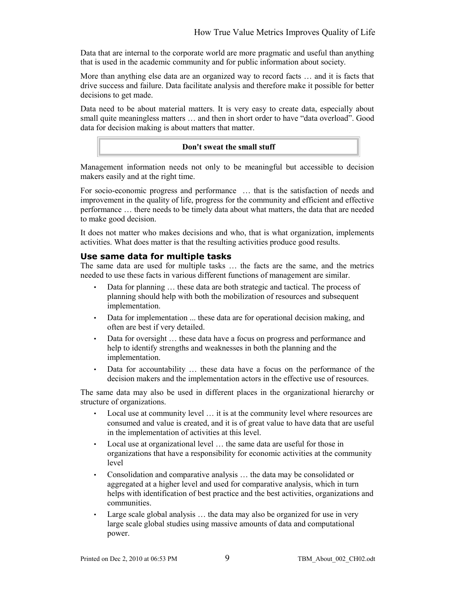Data that are internal to the corporate world are more pragmatic and useful than anything that is used in the academic community and for public information about society.

More than anything else data are an organized way to record facts … and it is facts that drive success and failure. Data facilitate analysis and therefore make it possible for better decisions to get made.

Data need to be about material matters. It is very easy to create data, especially about small quite meaningless matters … and then in short order to have "data overload". Good data for decision making is about matters that matter.

#### **Don't sweat the small stuff**

Management information needs not only to be meaningful but accessible to decision makers easily and at the right time.

For socio-economic progress and performance … that is the satisfaction of needs and improvement in the quality of life, progress for the community and efficient and effective performance … there needs to be timely data about what matters, the data that are needed to make good decision.

It does not matter who makes decisions and who, that is what organization, implements activities. What does matter is that the resulting activities produce good results.

#### **Use same data for multiple tasks**

The same data are used for multiple tasks … the facts are the same, and the metrics needed to use these facts in various different functions of management are similar.

- Data for planning ... these data are both strategic and tactical. The process of planning should help with both the mobilization of resources and subsequent implementation.
- Data for implementation ... these data are for operational decision making, and often are best if very detailed.
- Data for oversight ... these data have a focus on progress and performance and help to identify strengths and weaknesses in both the planning and the implementation.
- Data for accountability … these data have a focus on the performance of the decision makers and the implementation actors in the effective use of resources.

The same data may also be used in different places in the organizational hierarchy or structure of organizations.

- Local use at community level … it is at the community level where resources are consumed and value is created, and it is of great value to have data that are useful in the implementation of activities at this level.
- Local use at organizational level … the same data are useful for those in organizations that have a responsibility for economic activities at the community level
- Consolidation and comparative analysis … the data may be consolidated or aggregated at a higher level and used for comparative analysis, which in turn helps with identification of best practice and the best activities, organizations and communities.
- Large scale global analysis ... the data may also be organized for use in very large scale global studies using massive amounts of data and computational power.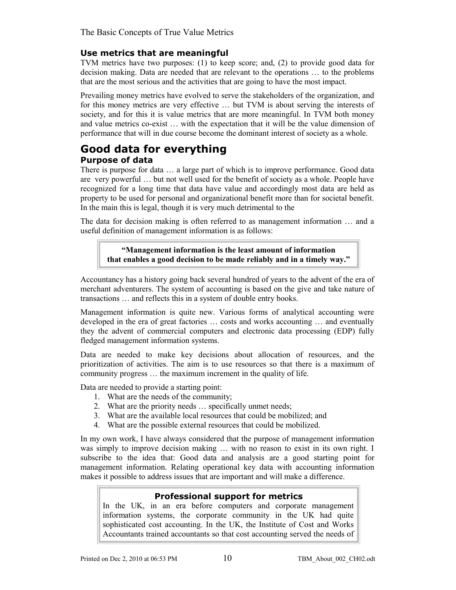#### **Use metrics that are meaningful**

TVM metrics have two purposes: (1) to keep score; and, (2) to provide good data for decision making. Data are needed that are relevant to the operations … to the problems that are the most serious and the activities that are going to have the most impact.

Prevailing money metrics have evolved to serve the stakeholders of the organization, and for this money metrics are very effective … but TVM is about serving the interests of society, and for this it is value metrics that are more meaningful. In TVM both money and value metrics co-exist … with the expectation that it will be the value dimension of performance that will in due course become the dominant interest of society as a whole.

#### **Good data for everything Purpose of data**

There is purpose for data … a large part of which is to improve performance. Good data are very powerful … but not well used for the benefit of society as a whole. People have recognized for a long time that data have value and accordingly most data are held as property to be used for personal and organizational benefit more than for societal benefit. In the main this is legal, though it is very much detrimental to the

The data for decision making is often referred to as management information … and a useful definition of management information is as follows:

**"Management information is the least amount of information that enables a good decision to be made reliably and in a timely way."**

Accountancy has a history going back several hundred of years to the advent of the era of merchant adventurers. The system of accounting is based on the give and take nature of transactions … and reflects this in a system of double entry books.

Management information is quite new. Various forms of analytical accounting were developed in the era of great factories … costs and works accounting … and eventually they the advent of commercial computers and electronic data processing (EDP) fully fledged management information systems.

Data are needed to make key decisions about allocation of resources, and the prioritization of activities. The aim is to use resources so that there is a maximum of community progress … the maximum increment in the quality of life.

Data are needed to provide a starting point:

- 1. What are the needs of the community;
- 2. What are the priority needs … specifically unmet needs;
- 3. What are the available local resources that could be mobilized; and
- 4. What are the possible external resources that could be mobilized.

In my own work, I have always considered that the purpose of management information was simply to improve decision making ... with no reason to exist in its own right. I subscribe to the idea that: Good data and analysis are a good starting point for management information. Relating operational key data with accounting information makes it possible to address issues that are important and will make a difference.

#### **Professional support for metrics**

In the UK, in an era before computers and corporate management information systems, the corporate community in the UK had quite sophisticated cost accounting. In the UK, the Institute of Cost and Works Accountants trained accountants so that cost accounting served the needs of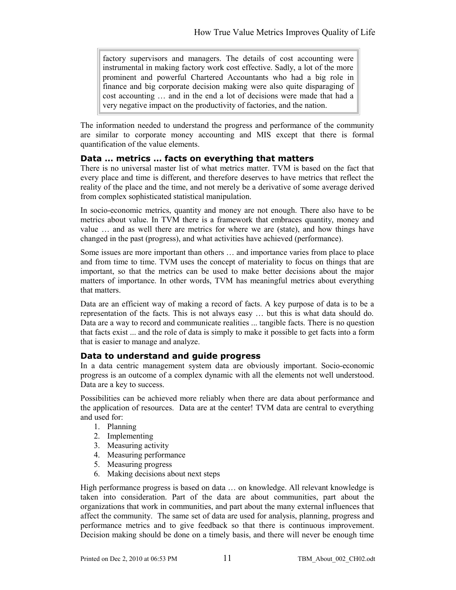factory supervisors and managers. The details of cost accounting were instrumental in making factory work cost effective. Sadly, a lot of the more prominent and powerful Chartered Accountants who had a big role in finance and big corporate decision making were also quite disparaging of cost accounting … and in the end a lot of decisions were made that had a very negative impact on the productivity of factories, and the nation.

The information needed to understand the progress and performance of the community are similar to corporate money accounting and MIS except that there is formal quantification of the value elements.

#### **Data … metrics … facts on everything that matters**

There is no universal master list of what metrics matter. TVM is based on the fact that every place and time is different, and therefore deserves to have metrics that reflect the reality of the place and the time, and not merely be a derivative of some average derived from complex sophisticated statistical manipulation.

In socio-economic metrics, quantity and money are not enough. There also have to be metrics about value. In TVM there is a framework that embraces quantity, money and value … and as well there are metrics for where we are (state), and how things have changed in the past (progress), and what activities have achieved (performance).

Some issues are more important than others … and importance varies from place to place and from time to time. TVM uses the concept of materiality to focus on things that are important, so that the metrics can be used to make better decisions about the major matters of importance. In other words, TVM has meaningful metrics about everything that matters.

Data are an efficient way of making a record of facts. A key purpose of data is to be a representation of the facts. This is not always easy … but this is what data should do. Data are a way to record and communicate realities ... tangible facts. There is no question that facts exist ... and the role of data is simply to make it possible to get facts into a form that is easier to manage and analyze.

#### **Data to understand and guide progress**

In a data centric management system data are obviously important. Socio-economic progress is an outcome of a complex dynamic with all the elements not well understood. Data are a key to success.

Possibilities can be achieved more reliably when there are data about performance and the application of resources. Data are at the center! TVM data are central to everything and used for:

- 1. Planning
- 2. Implementing
- 3. Measuring activity
- 4. Measuring performance
- 5. Measuring progress
- 6. Making decisions about next steps

High performance progress is based on data ... on knowledge. All relevant knowledge is taken into consideration. Part of the data are about communities, part about the organizations that work in communities, and part about the many external influences that affect the community. The same set of data are used for analysis, planning, progress and performance metrics and to give feedback so that there is continuous improvement. Decision making should be done on a timely basis, and there will never be enough time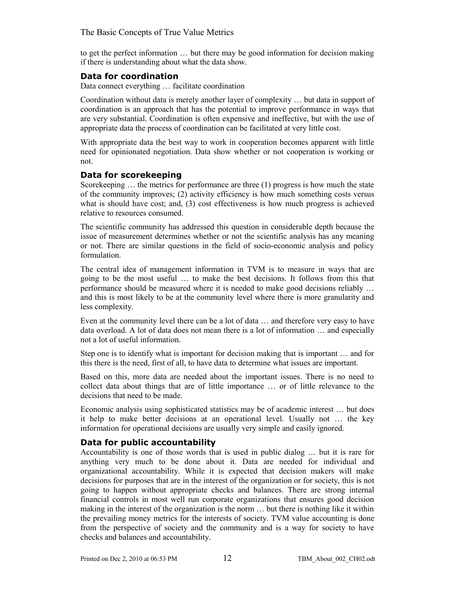to get the perfect information … but there may be good information for decision making if there is understanding about what the data show.

#### **Data for coordination**

Data connect everything … facilitate coordination

Coordination without data is merely another layer of complexity … but data in support of coordination is an approach that has the potential to improve performance in ways that are very substantial. Coordination is often expensive and ineffective, but with the use of appropriate data the process of coordination can be facilitated at very little cost.

With appropriate data the best way to work in cooperation becomes apparent with little need for opinionated negotiation. Data show whether or not cooperation is working or not.

#### **Data for scorekeeping**

Scorekeeping ... the metrics for performance are three (1) progress is how much the state of the community improves; (2) activity efficiency is how much something costs versus what is should have cost; and, (3) cost effectiveness is how much progress is achieved relative to resources consumed.

The scientific community has addressed this question in considerable depth because the issue of measurement determines whether or not the scientific analysis has any meaning or not. There are similar questions in the field of socio-economic analysis and policy formulation.

The central idea of management information in TVM is to measure in ways that are going to be the most useful … to make the best decisions. It follows from this that performance should be measured where it is needed to make good decisions reliably … and this is most likely to be at the community level where there is more granularity and less complexity.

Even at the community level there can be a lot of data … and therefore very easy to have data overload. A lot of data does not mean there is a lot of information … and especially not a lot of useful information.

Step one is to identify what is important for decision making that is important … and for this there is the need, first of all, to have data to determine what issues are important.

Based on this, more data are needed about the important issues. There is no need to collect data about things that are of little importance … or of little relevance to the decisions that need to be made.

Economic analysis using sophisticated statistics may be of academic interest … but does it help to make better decisions at an operational level. Usually not … the key information for operational decisions are usually very simple and easily ignored.

#### **Data for public accountability**

Accountability is one of those words that is used in public dialog … but it is rare for anything very much to be done about it. Data are needed for individual and organizational accountability. While it is expected that decision makers will make decisions for purposes that are in the interest of the organization or for society, this is not going to happen without appropriate checks and balances. There are strong internal financial controls in most well run corporate organizations that ensures good decision making in the interest of the organization is the norm … but there is nothing like it within the prevailing money metrics for the interests of society. TVM value accounting is done from the perspective of society and the community and is a way for society to have checks and balances and accountability.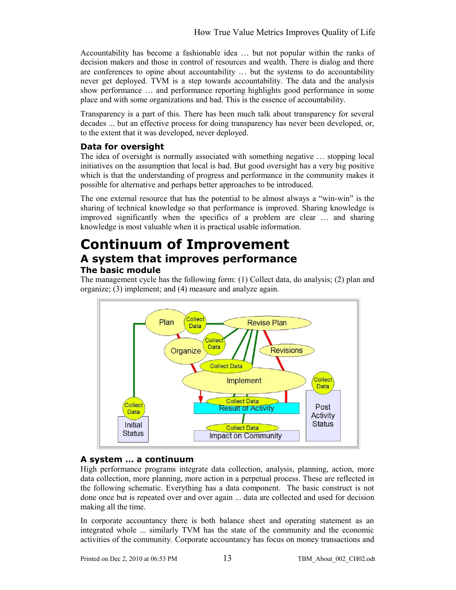Accountability has become a fashionable idea … but not popular within the ranks of decision makers and those in control of resources and wealth. There is dialog and there are conferences to opine about accountability … but the systems to do accountability never get deployed. TVM is a step towards accountability. The data and the analysis show performance … and performance reporting highlights good performance in some place and with some organizations and bad. This is the essence of accountability.

Transparency is a part of this. There has been much talk about transparency for several decades ... but an effective process for doing transparency has never been developed, or, to the extent that it was developed, never deployed.

#### **Data for oversight**

The idea of oversight is normally associated with something negative … stopping local initiatives on the assumption that local is bad. But good oversight has a very big positive which is that the understanding of progress and performance in the community makes it possible for alternative and perhaps better approaches to be introduced.

The one external resource that has the potential to be almost always a "win-win" is the sharing of technical knowledge so that performance is improved. Sharing knowledge is improved significantly when the specifics of a problem are clear … and sharing knowledge is most valuable when it is practical usable information.

### **Continuum of Improvement A system that improves performance The basic module**

The management cycle has the following form: (1) Collect data, do analysis; (2) plan and organize; (3) implement; and (4) measure and analyze again.



#### **A system … a continuum**

High performance programs integrate data collection, analysis, planning, action, more data collection, more planning, more action in a perpetual process. These are reflected in the following schematic. Everything has a data component. The basic construct is not done once but is repeated over and over again ... data are collected and used for decision making all the time.

In corporate accountancy there is both balance sheet and operating statement as an integrated whole ... similarly TVM has the state of the community and the economic activities of the community. Corporate accountancy has focus on money transactions and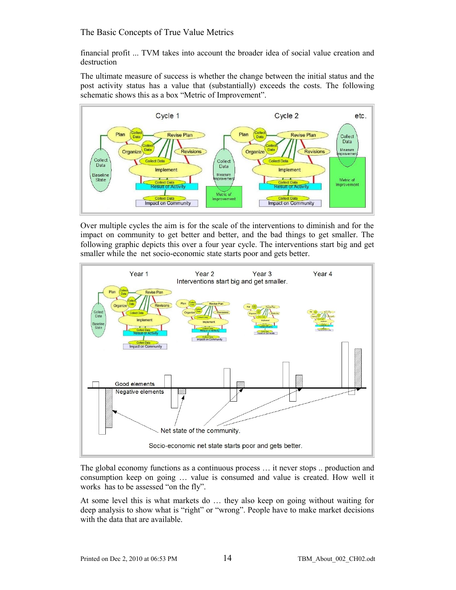financial profit ... TVM takes into account the broader idea of social value creation and destruction

The ultimate measure of success is whether the change between the initial status and the post activity status has a value that (substantially) exceeds the costs. The following schematic shows this as a box "Metric of Improvement".



Over multiple cycles the aim is for the scale of the interventions to diminish and for the impact on community to get better and better, and the bad things to get smaller. The following graphic depicts this over a four year cycle. The interventions start big and get smaller while the net socio-economic state starts poor and gets better.



The global economy functions as a continuous process … it never stops .. production and consumption keep on going … value is consumed and value is created. How well it works has to be assessed "on the fly".

At some level this is what markets do … they also keep on going without waiting for deep analysis to show what is "right" or "wrong". People have to make market decisions with the data that are available.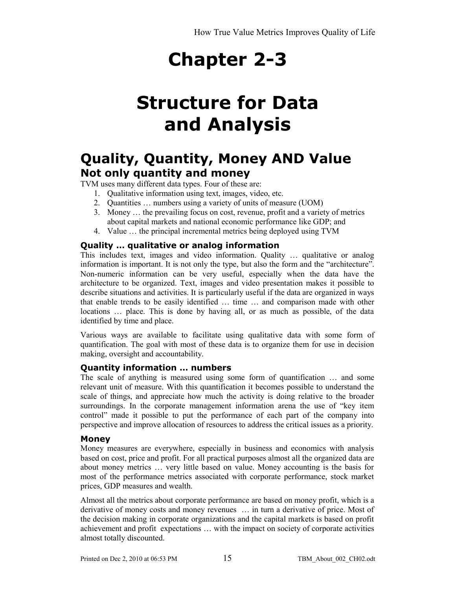## **Chapter 2-3**

## **Structure for Data and Analysis**

### **Quality, Quantity, Money AND Value Not only quantity and money**

TVM uses many different data types. Four of these are:

- 1. Qualitative information using text, images, video, etc.
- 2. Quantities … numbers using a variety of units of measure (UOM)
- 3. Money … the prevailing focus on cost, revenue, profit and a variety of metrics about capital markets and national economic performance like GDP; and
- 4. Value … the principal incremental metrics being deployed using TVM

#### **Quality … qualitative or analog information**

This includes text, images and video information. Quality … qualitative or analog information is important. It is not only the type, but also the form and the "architecture". Non-numeric information can be very useful, especially when the data have the architecture to be organized. Text, images and video presentation makes it possible to describe situations and activities. It is particularly useful if the data are organized in ways that enable trends to be easily identified … time … and comparison made with other locations … place. This is done by having all, or as much as possible, of the data identified by time and place.

Various ways are available to facilitate using qualitative data with some form of quantification. The goal with most of these data is to organize them for use in decision making, oversight and accountability.

#### **Quantity information … numbers**

The scale of anything is measured using some form of quantification … and some relevant unit of measure. With this quantification it becomes possible to understand the scale of things, and appreciate how much the activity is doing relative to the broader surroundings. In the corporate management information arena the use of "key item control" made it possible to put the performance of each part of the company into perspective and improve allocation of resources to address the critical issues as a priority.

#### **Money**

Money measures are everywhere, especially in business and economics with analysis based on cost, price and profit. For all practical purposes almost all the organized data are about money metrics … very little based on value. Money accounting is the basis for most of the performance metrics associated with corporate performance, stock market prices, GDP measures and wealth.

Almost all the metrics about corporate performance are based on money profit, which is a derivative of money costs and money revenues … in turn a derivative of price. Most of the decision making in corporate organizations and the capital markets is based on profit achievement and profit expectations … with the impact on society of corporate activities almost totally discounted.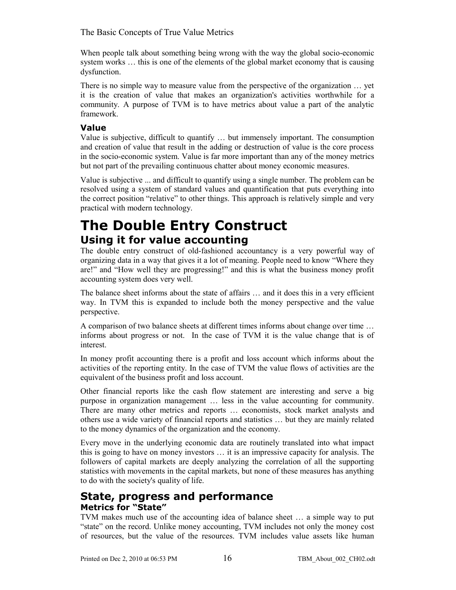When people talk about something being wrong with the way the global socio-economic system works … this is one of the elements of the global market economy that is causing dysfunction.

There is no simple way to measure value from the perspective of the organization … yet it is the creation of value that makes an organization's activities worthwhile for a community. A purpose of TVM is to have metrics about value a part of the analytic framework.

#### **Value**

Value is subjective, difficult to quantify … but immensely important. The consumption and creation of value that result in the adding or destruction of value is the core process in the socio-economic system. Value is far more important than any of the money metrics but not part of the prevailing continuous chatter about money economic measures.

Value is subjective ... and difficult to quantify using a single number. The problem can be resolved using a system of standard values and quantification that puts everything into the correct position "relative" to other things. This approach is relatively simple and very practical with modern technology.

### **The Double Entry Construct Using it for value accounting**

The double entry construct of old-fashioned accountancy is a very powerful way of organizing data in a way that gives it a lot of meaning. People need to know "Where they are!" and "How well they are progressing!" and this is what the business money profit accounting system does very well.

The balance sheet informs about the state of affairs … and it does this in a very efficient way. In TVM this is expanded to include both the money perspective and the value perspective.

A comparison of two balance sheets at different times informs about change over time … informs about progress or not. In the case of TVM it is the value change that is of interest.

In money profit accounting there is a profit and loss account which informs about the activities of the reporting entity. In the case of TVM the value flows of activities are the equivalent of the business profit and loss account.

Other financial reports like the cash flow statement are interesting and serve a big purpose in organization management … less in the value accounting for community. There are many other metrics and reports … economists, stock market analysts and others use a wide variety of financial reports and statistics … but they are mainly related to the money dynamics of the organization and the economy.

Every move in the underlying economic data are routinely translated into what impact this is going to have on money investors … it is an impressive capacity for analysis. The followers of capital markets are deeply analyzing the correlation of all the supporting statistics with movements in the capital markets, but none of these measures has anything to do with the society's quality of life.

#### **State, progress and performance Metrics for "State"**

TVM makes much use of the accounting idea of balance sheet … a simple way to put "state" on the record. Unlike money accounting, TVM includes not only the money cost of resources, but the value of the resources. TVM includes value assets like human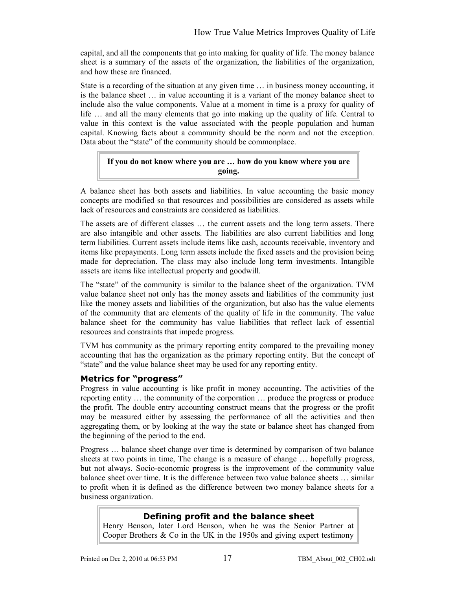capital, and all the components that go into making for quality of life. The money balance sheet is a summary of the assets of the organization, the liabilities of the organization, and how these are financed.

State is a recording of the situation at any given time … in business money accounting, it is the balance sheet … in value accounting it is a variant of the money balance sheet to include also the value components. Value at a moment in time is a proxy for quality of life … and all the many elements that go into making up the quality of life. Central to value in this context is the value associated with the people population and human capital. Knowing facts about a community should be the norm and not the exception. Data about the "state" of the community should be commonplace.

#### **If you do not know where you are … how do you know where you are going.**

A balance sheet has both assets and liabilities. In value accounting the basic money concepts are modified so that resources and possibilities are considered as assets while lack of resources and constraints are considered as liabilities.

The assets are of different classes … the current assets and the long term assets. There are also intangible and other assets. The liabilities are also current liabilities and long term liabilities. Current assets include items like cash, accounts receivable, inventory and items like prepayments. Long term assets include the fixed assets and the provision being made for depreciation. The class may also include long term investments. Intangible assets are items like intellectual property and goodwill.

The "state" of the community is similar to the balance sheet of the organization. TVM value balance sheet not only has the money assets and liabilities of the community just like the money assets and liabilities of the organization, but also has the value elements of the community that are elements of the quality of life in the community. The value balance sheet for the community has value liabilities that reflect lack of essential resources and constraints that impede progress.

TVM has community as the primary reporting entity compared to the prevailing money accounting that has the organization as the primary reporting entity. But the concept of "state" and the value balance sheet may be used for any reporting entity.

#### **Metrics for "progress"**

Progress in value accounting is like profit in money accounting. The activities of the reporting entity … the community of the corporation … produce the progress or produce the profit. The double entry accounting construct means that the progress or the profit may be measured either by assessing the performance of all the activities and then aggregating them, or by looking at the way the state or balance sheet has changed from the beginning of the period to the end.

Progress … balance sheet change over time is determined by comparison of two balance sheets at two points in time, The change is a measure of change … hopefully progress, but not always. Socio-economic progress is the improvement of the community value balance sheet over time. It is the difference between two value balance sheets … similar to profit when it is defined as the difference between two money balance sheets for a business organization.

#### **Defining profit and the balance sheet**

Henry Benson, later Lord Benson, when he was the Senior Partner at Cooper Brothers & Co in the UK in the 1950s and giving expert testimony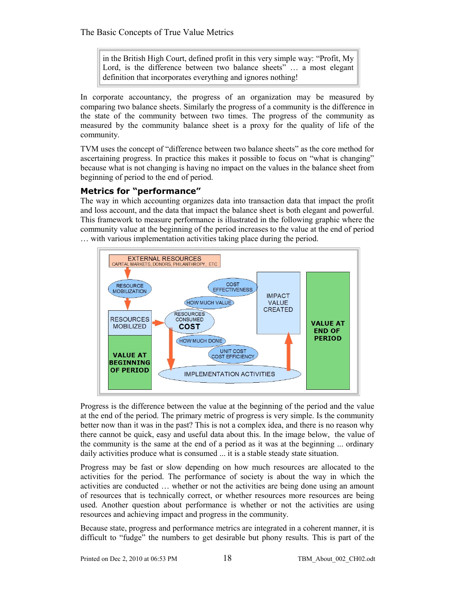in the British High Court, defined profit in this very simple way: "Profit, My Lord, is the difference between two balance sheets" ... a most elegant definition that incorporates everything and ignores nothing!

In corporate accountancy, the progress of an organization may be measured by comparing two balance sheets. Similarly the progress of a community is the difference in the state of the community between two times. The progress of the community as measured by the community balance sheet is a proxy for the quality of life of the community.

TVM uses the concept of "difference between two balance sheets" as the core method for ascertaining progress. In practice this makes it possible to focus on "what is changing" because what is not changing is having no impact on the values in the balance sheet from beginning of period to the end of period.

#### **Metrics for "performance"**

The way in which accounting organizes data into transaction data that impact the profit and loss account, and the data that impact the balance sheet is both elegant and powerful. This framework to measure performance is illustrated in the following graphic where the community value at the beginning of the period increases to the value at the end of period … with various implementation activities taking place during the period.



Progress is the difference between the value at the beginning of the period and the value at the end of the period. The primary metric of progress is very simple. Is the community better now than it was in the past? This is not a complex idea, and there is no reason why there cannot be quick, easy and useful data about this. In the image below, the value of the community is the same at the end of a period as it was at the beginning ... ordinary daily activities produce what is consumed ... it is a stable steady state situation.

Progress may be fast or slow depending on how much resources are allocated to the activities for the period. The performance of society is about the way in which the activities are conducted … whether or not the activities are being done using an amount of resources that is technically correct, or whether resources more resources are being used. Another question about performance is whether or not the activities are using resources and achieving impact and progress in the community.

Because state, progress and performance metrics are integrated in a coherent manner, it is difficult to "fudge" the numbers to get desirable but phony results. This is part of the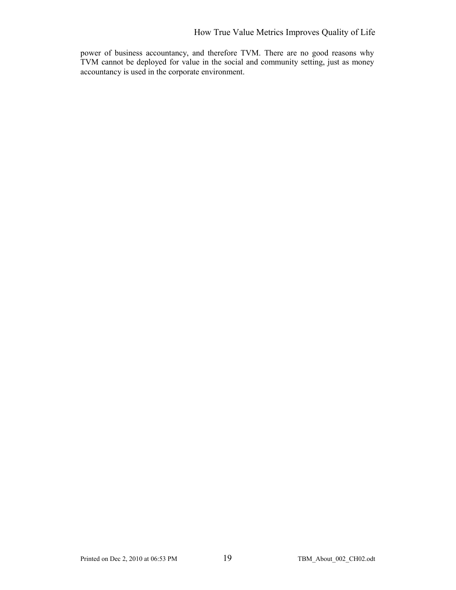power of business accountancy, and therefore TVM. There are no good reasons why TVM cannot be deployed for value in the social and community setting, just as money accountancy is used in the corporate environment.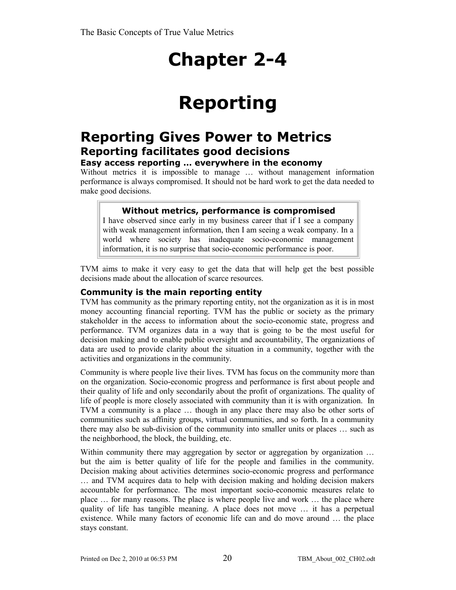## **Chapter 2-4**

## **Reporting**

### **Reporting Gives Power to Metrics Reporting facilitates good decisions**

#### **Easy access reporting … everywhere in the economy**

Without metrics it is impossible to manage … without management information performance is always compromised. It should not be hard work to get the data needed to make good decisions.

#### **Without metrics, performance is compromised**

I have observed since early in my business career that if I see a company with weak management information, then I am seeing a weak company. In a world where society has inadequate socio-economic management information, it is no surprise that socio-economic performance is poor.

TVM aims to make it very easy to get the data that will help get the best possible decisions made about the allocation of scarce resources.

#### **Community is the main reporting entity**

TVM has community as the primary reporting entity, not the organization as it is in most money accounting financial reporting. TVM has the public or society as the primary stakeholder in the access to information about the socio-economic state, progress and performance. TVM organizes data in a way that is going to be the most useful for decision making and to enable public oversight and accountability, The organizations of data are used to provide clarity about the situation in a community, together with the activities and organizations in the community.

Community is where people live their lives. TVM has focus on the community more than on the organization. Socio-economic progress and performance is first about people and their quality of life and only secondarily about the profit of organizations. The quality of life of people is more closely associated with community than it is with organization. In TVM a community is a place … though in any place there may also be other sorts of communities such as affinity groups, virtual communities, and so forth. In a community there may also be sub-division of the community into smaller units or places … such as the neighborhood, the block, the building, etc.

Within community there may aggregation by sector or aggregation by organization ... but the aim is better quality of life for the people and families in the community. Decision making about activities determines socio-economic progress and performance … and TVM acquires data to help with decision making and holding decision makers accountable for performance. The most important socio-economic measures relate to place … for many reasons. The place is where people live and work … the place where quality of life has tangible meaning. A place does not move … it has a perpetual existence. While many factors of economic life can and do move around … the place stays constant.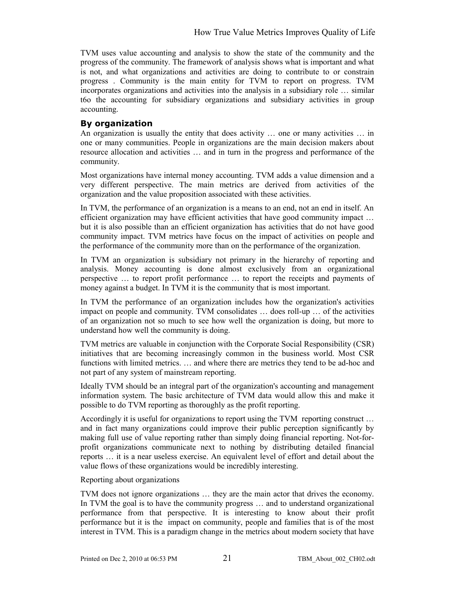TVM uses value accounting and analysis to show the state of the community and the progress of the community. The framework of analysis shows what is important and what is not, and what organizations and activities are doing to contribute to or constrain progress . Community is the main entity for TVM to report on progress. TVM incorporates organizations and activities into the analysis in a subsidiary role … similar t6o the accounting for subsidiary organizations and subsidiary activities in group accounting.

#### **By organization**

An organization is usually the entity that does activity … one or many activities … in one or many communities. People in organizations are the main decision makers about resource allocation and activities … and in turn in the progress and performance of the community.

Most organizations have internal money accounting. TVM adds a value dimension and a very different perspective. The main metrics are derived from activities of the organization and the value proposition associated with these activities.

In TVM, the performance of an organization is a means to an end, not an end in itself. An efficient organization may have efficient activities that have good community impact … but it is also possible than an efficient organization has activities that do not have good community impact. TVM metrics have focus on the impact of activities on people and the performance of the community more than on the performance of the organization.

In TVM an organization is subsidiary not primary in the hierarchy of reporting and analysis. Money accounting is done almost exclusively from an organizational perspective … to report profit performance … to report the receipts and payments of money against a budget. In TVM it is the community that is most important.

In TVM the performance of an organization includes how the organization's activities impact on people and community. TVM consolidates … does roll-up … of the activities of an organization not so much to see how well the organization is doing, but more to understand how well the community is doing.

TVM metrics are valuable in conjunction with the Corporate Social Responsibility (CSR) initiatives that are becoming increasingly common in the business world. Most CSR functions with limited metrics. … and where there are metrics they tend to be ad-hoc and not part of any system of mainstream reporting.

Ideally TVM should be an integral part of the organization's accounting and management information system. The basic architecture of TVM data would allow this and make it possible to do TVM reporting as thoroughly as the profit reporting.

Accordingly it is useful for organizations to report using the TVM reporting construct … and in fact many organizations could improve their public perception significantly by making full use of value reporting rather than simply doing financial reporting. Not-forprofit organizations communicate next to nothing by distributing detailed financial reports … it is a near useless exercise. An equivalent level of effort and detail about the value flows of these organizations would be incredibly interesting.

Reporting about organizations

TVM does not ignore organizations … they are the main actor that drives the economy. In TVM the goal is to have the community progress … and to understand organizational performance from that perspective. It is interesting to know about their profit performance but it is the impact on community, people and families that is of the most interest in TVM. This is a paradigm change in the metrics about modern society that have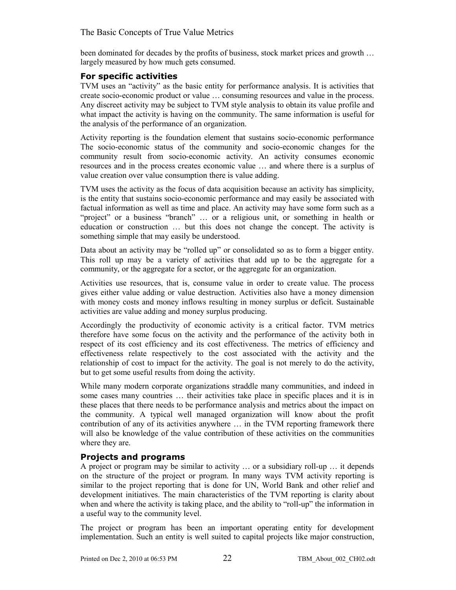been dominated for decades by the profits of business, stock market prices and growth … largely measured by how much gets consumed.

#### **For specific activities**

TVM uses an "activity" as the basic entity for performance analysis. It is activities that create socio-economic product or value … consuming resources and value in the process. Any discreet activity may be subject to TVM style analysis to obtain its value profile and what impact the activity is having on the community. The same information is useful for the analysis of the performance of an organization.

Activity reporting is the foundation element that sustains socio-economic performance The socio-economic status of the community and socio-economic changes for the community result from socio-economic activity. An activity consumes economic resources and in the process creates economic value … and where there is a surplus of value creation over value consumption there is value adding.

TVM uses the activity as the focus of data acquisition because an activity has simplicity, is the entity that sustains socio-economic performance and may easily be associated with factual information as well as time and place. An activity may have some form such as a "project" or a business "branch" … or a religious unit, or something in health or education or construction … but this does not change the concept. The activity is something simple that may easily be understood.

Data about an activity may be "rolled up" or consolidated so as to form a bigger entity. This roll up may be a variety of activities that add up to be the aggregate for a community, or the aggregate for a sector, or the aggregate for an organization.

Activities use resources, that is, consume value in order to create value. The process gives either value adding or value destruction. Activities also have a money dimension with money costs and money inflows resulting in money surplus or deficit. Sustainable activities are value adding and money surplus producing.

Accordingly the productivity of economic activity is a critical factor. TVM metrics therefore have some focus on the activity and the performance of the activity both in respect of its cost efficiency and its cost effectiveness. The metrics of efficiency and effectiveness relate respectively to the cost associated with the activity and the relationship of cost to impact for the activity. The goal is not merely to do the activity, but to get some useful results from doing the activity.

While many modern corporate organizations straddle many communities, and indeed in some cases many countries … their activities take place in specific places and it is in these places that there needs to be performance analysis and metrics about the impact on the community. A typical well managed organization will know about the profit contribution of any of its activities anywhere … in the TVM reporting framework there will also be knowledge of the value contribution of these activities on the communities where they are.

#### **Projects and programs**

A project or program may be similar to activity … or a subsidiary roll-up … it depends on the structure of the project or program. In many ways TVM activity reporting is similar to the project reporting that is done for UN, World Bank and other relief and development initiatives. The main characteristics of the TVM reporting is clarity about when and where the activity is taking place, and the ability to "roll-up" the information in a useful way to the community level.

The project or program has been an important operating entity for development implementation. Such an entity is well suited to capital projects like major construction,